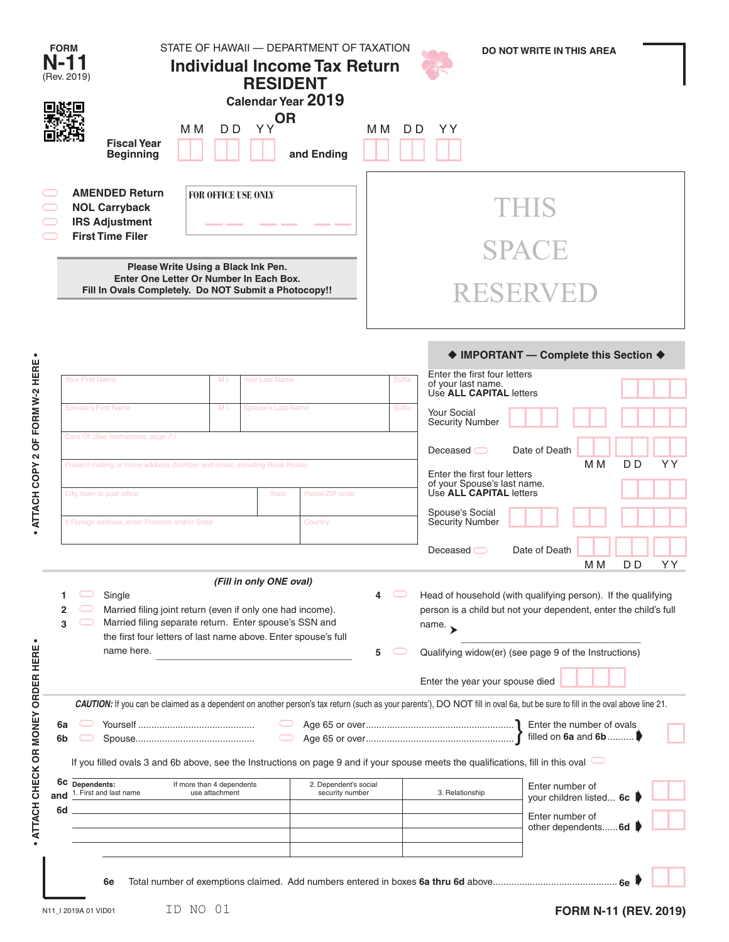| <b>FORM</b><br>N-11                    | (Rev. 2019)                                                                                                                                                                                                                                                                                                                                                                       | STATE OF HAWAII - DEPARTMENT OF TAXATION<br><b>Individual Income Tax Return</b> | <b>RESIDENT</b>           | Calendar Year 2019 |                                                               |                                                                                              | <b>DO NOT WRITE IN THIS AREA</b>                                                                                                                                                           |                      |  |  |
|----------------------------------------|-----------------------------------------------------------------------------------------------------------------------------------------------------------------------------------------------------------------------------------------------------------------------------------------------------------------------------------------------------------------------------------|---------------------------------------------------------------------------------|---------------------------|--------------------|---------------------------------------------------------------|----------------------------------------------------------------------------------------------|--------------------------------------------------------------------------------------------------------------------------------------------------------------------------------------------|----------------------|--|--|
|                                        | <b>Fiscal Year</b><br><b>Beginning</b>                                                                                                                                                                                                                                                                                                                                            | M M<br>D <sub>D</sub>                                                           | <b>OR</b><br>ΥY           | and Ending         | M M<br>D D                                                    | YY                                                                                           |                                                                                                                                                                                            |                      |  |  |
|                                        | <b>AMENDED Return</b><br><b>NOL Carryback</b><br><b>IRS Adjustment</b><br><b>First Time Filer</b>                                                                                                                                                                                                                                                                                 | <b>FOR OFFICE USE ONLY</b>                                                      |                           |                    |                                                               |                                                                                              | <b>THIS</b>                                                                                                                                                                                |                      |  |  |
|                                        |                                                                                                                                                                                                                                                                                                                                                                                   |                                                                                 |                           |                    |                                                               |                                                                                              | <b>SPACE</b>                                                                                                                                                                               |                      |  |  |
|                                        | Fill In Ovals Completely. Do NOT Submit a Photocopy!!                                                                                                                                                                                                                                                                                                                             | Please Write Using a Black Ink Pen.<br>Enter One Letter Or Number In Each Box.  |                           |                    |                                                               |                                                                                              | <b>RESERVED</b>                                                                                                                                                                            |                      |  |  |
|                                        |                                                                                                                                                                                                                                                                                                                                                                                   |                                                                                 |                           |                    |                                                               |                                                                                              | ♦ IMPORTANT - Complete this Section ♦                                                                                                                                                      |                      |  |  |
| ATTACH COPY 2 OF FORM W-2 HERE         | Your First Name                                                                                                                                                                                                                                                                                                                                                                   | M.I.                                                                            | Your Last Name            |                    | Suffix                                                        | Enter the first four letters<br>of your last name.<br>Use ALL CAPITAL letters                |                                                                                                                                                                                            |                      |  |  |
|                                        | <b>Spouse's First Name</b>                                                                                                                                                                                                                                                                                                                                                        | M.I.                                                                            | <b>Spouse's Last Name</b> |                    | <b>Suffix</b>                                                 | Your Social<br><b>Security Number</b>                                                        |                                                                                                                                                                                            |                      |  |  |
|                                        | Care Of (See Instructions, page 7.)                                                                                                                                                                                                                                                                                                                                               |                                                                                 |                           |                    |                                                               | Deceased $\bigcirc$                                                                          | Date of Death<br>M <sub>M</sub>                                                                                                                                                            | D D                  |  |  |
|                                        | Present mailing or home address (Number and street, including Rural Route)<br>Postal/ZIP code<br>City, town or post office<br><b>State</b>                                                                                                                                                                                                                                        |                                                                                 |                           |                    |                                                               | YΥ<br>Enter the first four letters<br>of your Spouse's last name.<br>Use ALL CAPITAL letters |                                                                                                                                                                                            |                      |  |  |
|                                        | If Foreign address, enter Province and/or State<br>Country                                                                                                                                                                                                                                                                                                                        |                                                                                 |                           |                    | Spouse's Social<br>Security Number                            |                                                                                              |                                                                                                                                                                                            |                      |  |  |
|                                        |                                                                                                                                                                                                                                                                                                                                                                                   |                                                                                 |                           |                    |                                                               | Deceased                                                                                     | Date of Death<br>M <sub>M</sub>                                                                                                                                                            | D <sub>D</sub><br>YΥ |  |  |
| 2<br>3                                 | Single<br>Married filing joint return (even if only one had income).<br>Married filing separate return. Enter spouse's SSN and<br>$\subset$<br>the first four letters of last name above. Enter spouse's full<br>name here.                                                                                                                                                       |                                                                                 | (Fill in only ONE oval)   |                    | 4<br>5                                                        | name. $\rightarrow$<br>Enter the year your spouse died                                       | Head of household (with qualifying person). If the qualifying<br>person is a child but not your dependent, enter the child's full<br>Qualifying widow(er) (see page 9 of the Instructions) |                      |  |  |
|                                        | CAUTION: If you can be claimed as a dependent on another person's tax return (such as your parents'), DO NOT fill in oval 6a, but be sure to fill in the oval above line 21.<br>Enter the number of ovals<br>6а<br>filled on 6a and 6b<br>6b<br>If you filled ovals 3 and 6b above, see the Instructions on page 9 and if your spouse meets the qualifications, fill in this oval |                                                                                 |                           |                    |                                                               |                                                                                              |                                                                                                                                                                                            |                      |  |  |
| 6c<br>and                              | Dependents:<br>If more than 4 dependents<br>2. Dependent's social<br>1. First and last name<br>use attachment<br>security number                                                                                                                                                                                                                                                  |                                                                                 |                           |                    | Enter number of<br>3. Relationship<br>your children listed 6c |                                                                                              |                                                                                                                                                                                            |                      |  |  |
| ATTACH CHECK OR MONEY ORDER HERE<br>6d |                                                                                                                                                                                                                                                                                                                                                                                   |                                                                                 |                           |                    |                                                               | Enter number of<br>other dependents 6d                                                       |                                                                                                                                                                                            |                      |  |  |
|                                        | 6e                                                                                                                                                                                                                                                                                                                                                                                |                                                                                 |                           |                    |                                                               |                                                                                              |                                                                                                                                                                                            |                      |  |  |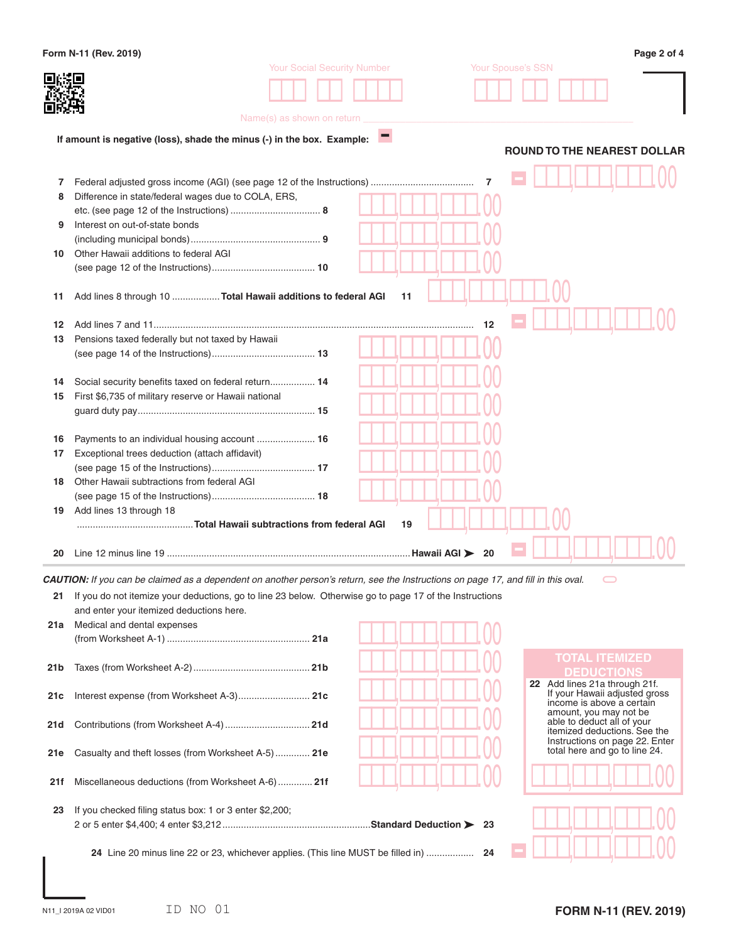|          | Form N-11 (Rev. 2019)                                                                                                                               |                   | Page 2 of 4                                                                                 |
|----------|-----------------------------------------------------------------------------------------------------------------------------------------------------|-------------------|---------------------------------------------------------------------------------------------|
|          | <b>Your Social Security Number</b><br>Name(s) as shown on return                                                                                    | Your Spouse's SSN |                                                                                             |
|          | If amount is negative (loss), shade the minus (-) in the box. Example:                                                                              |                   | <b>ROUND TO THE NEAREST DOLLAR</b>                                                          |
| 7<br>8   | Difference in state/federal wages due to COLA, ERS,                                                                                                 | 7                 |                                                                                             |
| 9        | Interest on out-of-state bonds                                                                                                                      |                   |                                                                                             |
| 10       | Other Hawaii additions to federal AGI                                                                                                               |                   |                                                                                             |
| 11       | Add lines 8 through 10  Total Hawaii additions to federal AGI                                                                                       | 11                |                                                                                             |
|          |                                                                                                                                                     | 12                |                                                                                             |
| 12<br>13 | Pensions taxed federally but not taxed by Hawaii                                                                                                    |                   |                                                                                             |
| 14<br>15 | Social security benefits taxed on federal return 14<br>First \$6,735 of military reserve or Hawaii national                                         |                   |                                                                                             |
| 16<br>17 | Exceptional trees deduction (attach affidavit)                                                                                                      |                   |                                                                                             |
| 18       | Other Hawaii subtractions from federal AGI                                                                                                          |                   |                                                                                             |
| 19       | Add lines 13 through 18                                                                                                                             | 19                |                                                                                             |
| 20       |                                                                                                                                                     | -20               |                                                                                             |
|          | CAUTION: If you can be claimed as a dependent on another person's return, see the Instructions on page 17, and fill in this oval.                   |                   |                                                                                             |
| 21       | If you do not itemize your deductions, go to line 23 below. Otherwise go to page 17 of the Instructions<br>and enter your itemized deductions here. |                   |                                                                                             |
| 21a      | Medical and dental expenses                                                                                                                         |                   |                                                                                             |
| 21b      |                                                                                                                                                     |                   | <b>TOTAL ITEMIZED</b><br><b>DEDUCTIONS</b>                                                  |
| 21c      | Interest expense (from Worksheet A-3) 21c                                                                                                           |                   | 22 Add lines 21a through 21f.<br>If your Hawaii adjusted gross<br>income is above a certain |
| 21 d     |                                                                                                                                                     |                   | amount, you may not be<br>able to deduct all of your<br>itemized deductions. See the        |
| 21e      | Casualty and theft losses (from Worksheet A-5)  21e                                                                                                 |                   | Instructions on page 22. Enter<br>total here and go to line 24.                             |
| 21f      | Miscellaneous deductions (from Worksheet A-6)  21f                                                                                                  |                   |                                                                                             |
| 23       | If you checked filing status box: 1 or 3 enter \$2,200;                                                                                             |                   |                                                                                             |
|          | 24 Line 20 minus line 22 or 23, whichever applies. (This line MUST be filled in)                                                                    | 24                |                                                                                             |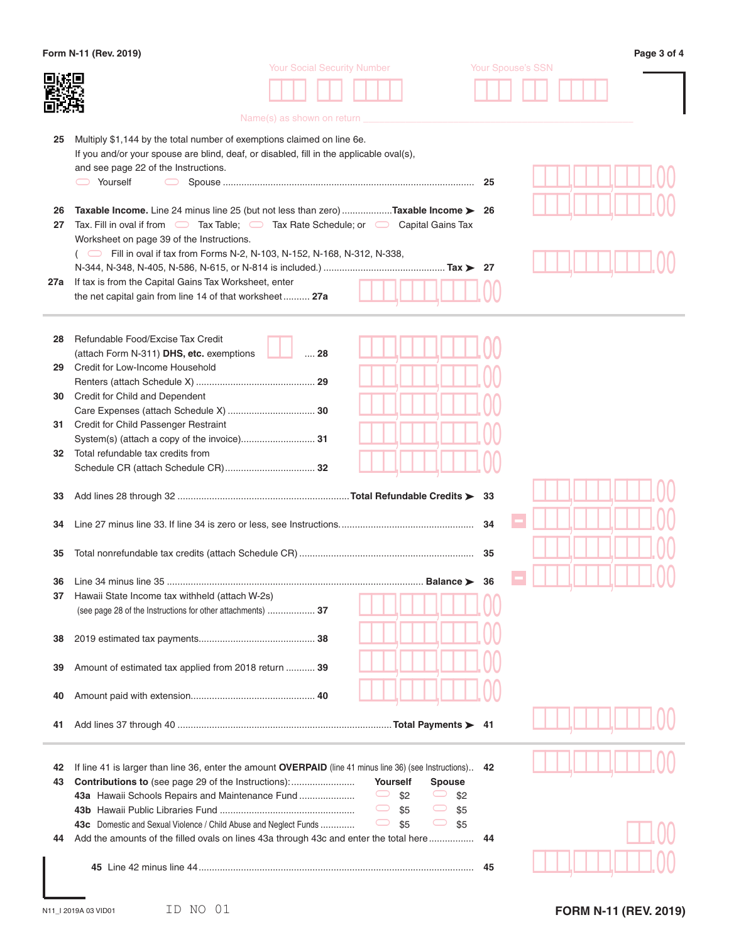|     | Form N-11 (Rev. 2019)                                                                                                   |    | Page 3 of 4              |
|-----|-------------------------------------------------------------------------------------------------------------------------|----|--------------------------|
|     | <b>Your Social Security Number</b>                                                                                      |    | <b>Your Spouse's SSN</b> |
|     |                                                                                                                         |    |                          |
|     |                                                                                                                         |    |                          |
|     | Name(s) as shown on return                                                                                              |    |                          |
| 25  | Multiply \$1,144 by the total number of exemptions claimed on line 6e.                                                  |    |                          |
|     | If you and/or your spouse are blind, deaf, or disabled, fill in the applicable oval(s),                                 |    |                          |
|     | and see page 22 of the Instructions.                                                                                    |    |                          |
|     | Yourself                                                                                                                |    |                          |
|     |                                                                                                                         |    |                          |
| 26  | Taxable Income. Line 24 minus line 25 (but not less than zero) Taxable Income > 26                                      |    |                          |
| 27  | Tax. Fill in oval if from $\Box$ Tax Table; $\Box$ Tax Rate Schedule; or $\Box$ Capital Gains Tax                       |    |                          |
|     | Worksheet on page 39 of the Instructions.                                                                               |    |                          |
|     | ( Fill in oval if tax from Forms N-2, N-103, N-152, N-168, N-312, N-338,                                                |    |                          |
|     |                                                                                                                         |    |                          |
| 27a | If tax is from the Capital Gains Tax Worksheet, enter                                                                   |    |                          |
|     | the net capital gain from line 14 of that worksheet 27a                                                                 |    |                          |
|     |                                                                                                                         |    |                          |
| 28  | Refundable Food/Excise Tax Credit                                                                                       |    |                          |
|     | (attach Form N-311) DHS, etc. exemptions<br>$\ldots$ 28                                                                 |    |                          |
| 29  | Credit for Low-Income Household                                                                                         |    |                          |
|     |                                                                                                                         |    |                          |
| 30  | Credit for Child and Dependent                                                                                          |    |                          |
|     |                                                                                                                         |    |                          |
| 31  | Credit for Child Passenger Restraint                                                                                    |    |                          |
|     |                                                                                                                         |    |                          |
| 32  | Total refundable tax credits from                                                                                       |    |                          |
|     |                                                                                                                         |    |                          |
| 33  |                                                                                                                         |    |                          |
|     |                                                                                                                         |    |                          |
| 34  |                                                                                                                         | 34 |                          |
| 35  |                                                                                                                         | 35 |                          |
|     |                                                                                                                         |    |                          |
|     | <b>36</b> Line 34 minus line 35.<br>Balance $\blacktriangleright$                                                       | 36 |                          |
| 37  | Hawaii State Income tax withheld (attach W-2s)                                                                          |    |                          |
|     | (see page 28 of the Instructions for other attachments)  37                                                             |    |                          |
|     |                                                                                                                         |    |                          |
| 38  |                                                                                                                         |    |                          |
|     |                                                                                                                         |    |                          |
| 39  | Amount of estimated tax applied from 2018 return  39                                                                    |    |                          |
| 40  |                                                                                                                         |    |                          |
|     |                                                                                                                         |    |                          |
| 41  |                                                                                                                         |    |                          |
|     |                                                                                                                         |    |                          |
| 42  | If line 41 is larger than line 36, enter the amount OVERPAID (line 41 minus line 36) (see Instructions)                 | 42 |                          |
| 43  | <b>Contributions to</b> (see page 29 of the Instructions):<br>Yourself<br><b>Spouse</b>                                 |    |                          |
|     | $\displaystyle\bigcirc$<br>43a Hawaii Schools Repairs and Maintenance Fund<br>\$2<br>$\cup$ \$2                         |    |                          |
|     | $\displaystyle\bigcirc$<br>$\bigcirc$<br>\$5<br>\$5                                                                     |    |                          |
|     | $\displaystyle\bigcirc$<br>$\bigcirc$<br>\$5<br>\$5<br>43c Domestic and Sexual Violence / Child Abuse and Neglect Funds |    |                          |
| 44  | Add the amounts of the filled ovals on lines 43a through 43c and enter the total here                                   | 44 |                          |
|     |                                                                                                                         |    |                          |
|     |                                                                                                                         | 45 |                          |
|     |                                                                                                                         |    |                          |
|     |                                                                                                                         |    |                          |